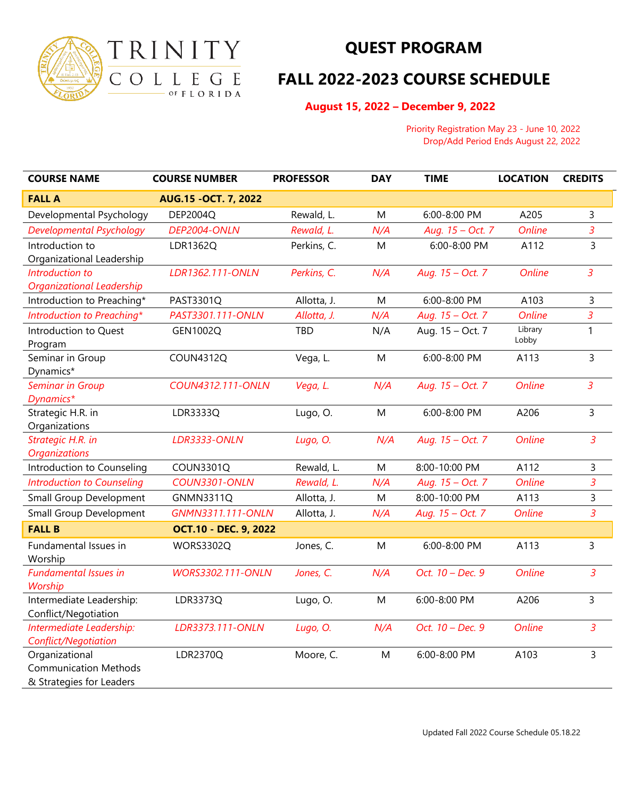

## **QUEST PROGRAM**

## **FALL 2022-2023 COURSE SCHEDULE**

 **August 15, 2022 – December 9, 2022**

 Priority Registration May 23 - June 10, 2022 Drop/Add Period Ends August 22, 2022

| <b>COURSE NAME</b>                      | <b>COURSE NUMBER</b>         | <b>PROFESSOR</b> | <b>DAY</b> | <b>TIME</b>      | <b>LOCATION</b> | <b>CREDITS</b> |
|-----------------------------------------|------------------------------|------------------|------------|------------------|-----------------|----------------|
| <b>FALL A</b>                           | AUG.15 - OCT. 7, 2022        |                  |            |                  |                 |                |
| Developmental Psychology                | DEP2004Q                     | Rewald, L.       | M          | 6:00-8:00 PM     | A205            | 3              |
| Developmental Psychology                | DEP2004-ONLN                 | Rewald, L.       | N/A        | Aug. 15 - Oct. 7 | <b>Online</b>   | $\mathfrak{Z}$ |
| Introduction to                         | LDR1362Q                     | Perkins, C.      | M          | 6:00-8:00 PM     | A112            | $\overline{3}$ |
| Organizational Leadership               |                              |                  |            |                  |                 |                |
| Introduction to                         | LDR1362.111-ONLN             | Perkins, C.      | N/A        | Aug. 15 - Oct. 7 | <b>Online</b>   | $\overline{3}$ |
| <b>Organizational Leadership</b>        |                              |                  |            |                  |                 |                |
| Introduction to Preaching*              | PAST3301Q                    | Allotta, J.      | M          | 6:00-8:00 PM     | A103            | 3              |
| Introduction to Preaching*              | PAST3301.111-ONLN            | Allotta, J.      | N/A        | Aug. 15 - Oct. 7 | <b>Online</b>   | 3              |
| Introduction to Quest                   | GEN1002Q                     | TBD              | N/A        | Aug. 15 - Oct. 7 | Library         | 1              |
| Program                                 |                              |                  |            |                  | Lobby           |                |
| Seminar in Group                        | <b>COUN4312Q</b>             | Vega, L.         | M          | 6:00-8:00 PM     | A113            | $\overline{3}$ |
| Dynamics*                               |                              |                  |            |                  |                 |                |
| <b>Seminar in Group</b>                 | COUN4312.111-ONLN            | Vega, L.         | N/A        | Aug. 15 - Oct. 7 | <b>Online</b>   | $\overline{3}$ |
| Dynamics*                               |                              |                  |            |                  |                 |                |
| Strategic H.R. in                       | LDR3333Q                     | Lugo, O.         | M          | 6:00-8:00 PM     | A206            | $\overline{3}$ |
| Organizations                           |                              |                  |            |                  |                 |                |
| Strategic H.R. in                       | <b>LDR3333-ONLN</b>          | Lugo, O.         | N/A        | Aug. 15 - Oct. 7 | <b>Online</b>   | $\overline{3}$ |
| <b>Organizations</b>                    |                              |                  | M          | 8:00-10:00 PM    | A112            |                |
| Introduction to Counseling              | <b>COUN3301Q</b>             | Rewald, L.       |            |                  |                 | 3              |
| <b>Introduction to Counseling</b>       | <b>COUN3301-ONLN</b>         | Rewald, L.       | N/A        | Aug. 15 - Oct. 7 | <b>Online</b>   | 3              |
| Small Group Development                 | <b>GNMN3311Q</b>             | Allotta, J.      | M          | 8:00-10:00 PM    | A113            | 3              |
| <b>Small Group Development</b>          | GNMN3311.111-ONLN            | Allotta, J.      | N/A        | Aug. 15 - Oct. 7 | <b>Online</b>   | $\overline{3}$ |
| <b>FALL B</b>                           | <b>OCT.10 - DEC. 9, 2022</b> |                  |            |                  |                 |                |
| Fundamental Issues in                   | <b>WORS3302Q</b>             | Jones, C.        | M          | 6:00-8:00 PM     | A113            | $\overline{3}$ |
| Worship                                 |                              |                  |            |                  |                 |                |
| <b>Fundamental Issues in</b><br>Worship | <b>WORS3302.111-ONLN</b>     | Jones, C.        | N/A        | Oct. 10 - Dec. 9 | <b>Online</b>   | $\overline{3}$ |
| Intermediate Leadership:                | LDR3373Q                     | Lugo, O.         | M          | 6:00-8:00 PM     | A206            | 3              |
| Conflict/Negotiation                    |                              |                  |            |                  |                 |                |
| Intermediate Leadership:                | LDR3373.111-ONLN             | Lugo, O.         | N/A        | Oct. 10 - Dec. 9 | Online          | $\overline{3}$ |
| Conflict/Negotiation                    |                              |                  |            |                  |                 |                |
| Organizational                          | LDR2370Q                     | Moore, C.        | M          | 6:00-8:00 PM     | A103            | 3              |
| <b>Communication Methods</b>            |                              |                  |            |                  |                 |                |
| & Strategies for Leaders                |                              |                  |            |                  |                 |                |